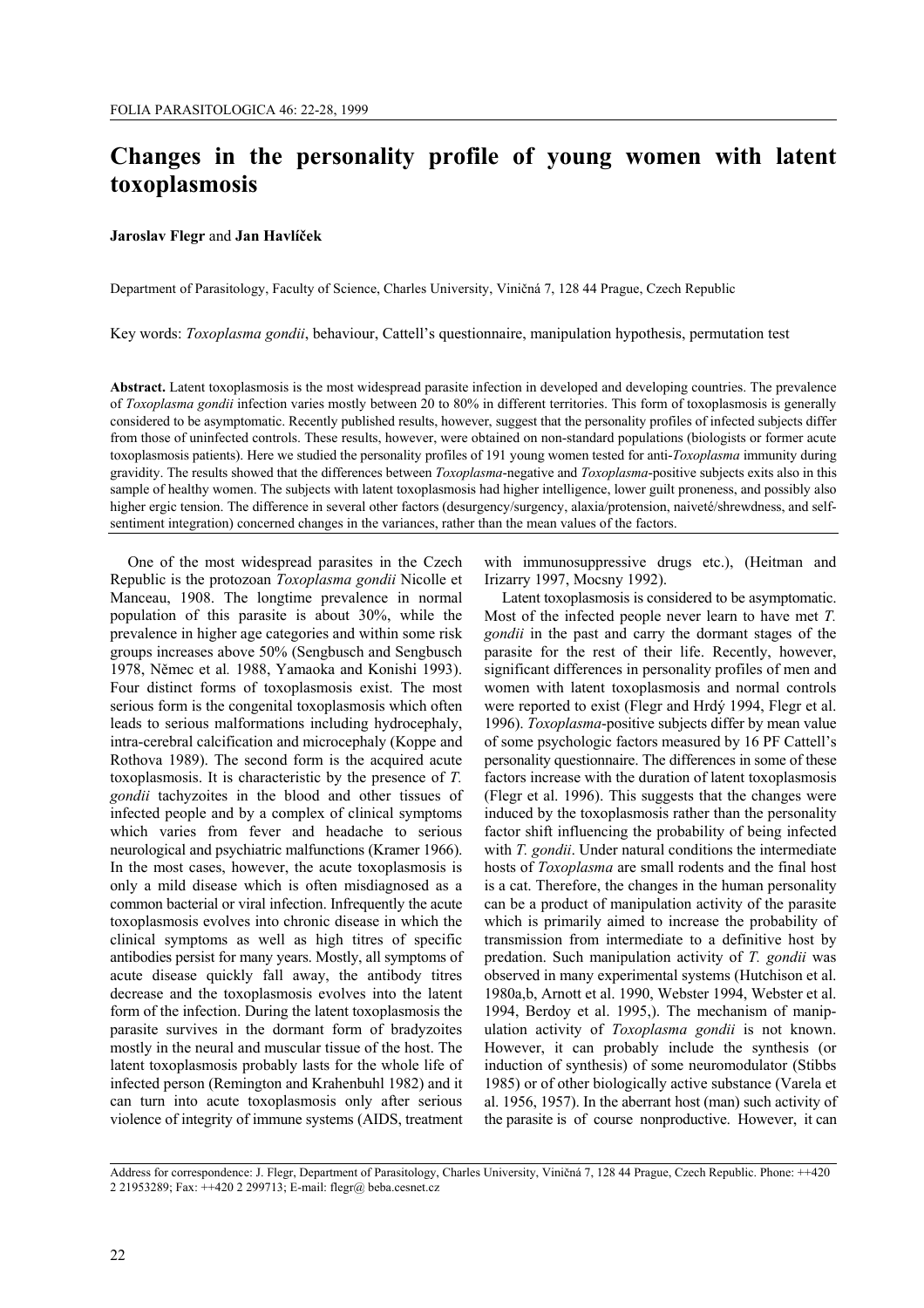# **Changes in the personality profile of young women with latent toxoplasmosis**

## **Jaroslav Flegr** and **Jan Havlíček**

Department of Parasitology, Faculty of Science, Charles University, Viničná 7, 128 44 Prague, Czech Republic

Key words: *Toxoplasma gondii*, behaviour, Cattell's questionnaire, manipulation hypothesis, permutation test

**Abstract.** Latent toxoplasmosis is the most widespread parasite infection in developed and developing countries. The prevalence of *Toxoplasma gondii* infection varies mostly between 20 to 80% in different territories. This form of toxoplasmosis is generally considered to be asymptomatic. Recently published results, however, suggest that the personality profiles of infected subjects differ from those of uninfected controls. These results, however, were obtained on non-standard populations (biologists or former acute toxoplasmosis patients). Here we studied the personality profiles of 191 young women tested for anti-*Toxoplasma* immunity during gravidity. The results showed that the differences between *Toxoplasma*-negative and *Toxoplasma*-positive subjects exits also in this sample of healthy women. The subjects with latent toxoplasmosis had higher intelligence, lower guilt proneness, and possibly also higher ergic tension. The difference in several other factors (desurgency/surgency, alaxia/protension, naiveté/shrewdness, and selfsentiment integration) concerned changes in the variances, rather than the mean values of the factors.

One of the most widespread parasites in the Czech Republic is the protozoan *Toxoplasma gondii* Nicolle et Manceau, 1908. The longtime prevalence in normal population of this parasite is about 30%, while the prevalence in higher age categories and within some risk groups increases above 50% (Sengbusch and Sengbusch 1978, Němec et al*.* 1988, Yamaoka and Konishi 1993). Four distinct forms of toxoplasmosis exist. The most serious form is the congenital toxoplasmosis which often leads to serious malformations including hydrocephaly, intra-cerebral calcification and microcephaly (Koppe and Rothova 1989). The second form is the acquired acute toxoplasmosis. It is characteristic by the presence of *T. gondii* tachyzoites in the blood and other tissues of infected people and by a complex of clinical symptoms which varies from fever and headache to serious neurological and psychiatric malfunctions (Kramer 1966). In the most cases, however, the acute toxoplasmosis is only a mild disease which is often misdiagnosed as a common bacterial or viral infection. Infrequently the acute toxoplasmosis evolves into chronic disease in which the clinical symptoms as well as high titres of specific antibodies persist for many years. Mostly, all symptoms of acute disease quickly fall away, the antibody titres decrease and the toxoplasmosis evolves into the latent form of the infection. During the latent toxoplasmosis the parasite survives in the dormant form of bradyzoites mostly in the neural and muscular tissue of the host. The latent toxoplasmosis probably lasts for the whole life of infected person (Remington and Krahenbuhl 1982) and it can turn into acute toxoplasmosis only after serious violence of integrity of immune systems (AIDS, treatment

with immunosuppressive drugs etc.), (Heitman and Irizarry 1997, Mocsny 1992).

Latent toxoplasmosis is considered to be asymptomatic. Most of the infected people never learn to have met *T. gondii* in the past and carry the dormant stages of the parasite for the rest of their life. Recently, however, significant differences in personality profiles of men and women with latent toxoplasmosis and normal controls were reported to exist (Flegr and Hrdý 1994, Flegr et al. 1996). *Toxoplasma*-positive subjects differ by mean value of some psychologic factors measured by 16 PF Cattell's personality questionnaire. The differences in some of these factors increase with the duration of latent toxoplasmosis (Flegr et al. 1996). This suggests that the changes were induced by the toxoplasmosis rather than the personality factor shift influencing the probability of being infected with *T. gondii*. Under natural conditions the intermediate hosts of *Toxoplasma* are small rodents and the final host is a cat. Therefore, the changes in the human personality can be a product of manipulation activity of the parasite which is primarily aimed to increase the probability of transmission from intermediate to a definitive host by predation. Such manipulation activity of *T. gondii* was observed in many experimental systems (Hutchison et al. 1980a,b, Arnott et al. 1990, Webster 1994, Webster et al. 1994, Berdoy et al. 1995,). The mechanism of manipulation activity of *Toxoplasma gondii* is not known. However, it can probably include the synthesis (or induction of synthesis) of some neuromodulator (Stibbs 1985) or of other biologically active substance (Varela et al. 1956, 1957). In the aberrant host (man) such activity of the parasite is of course nonproductive. However, it can

Address for correspondence: J. Flegr, Department of Parasitology, Charles University, Viničná 7, 128 44 Prague, Czech Republic. Phone: ++420 2 21953289; Fax: ++420 2 299713; E-mail: flegr@ beba.cesnet.cz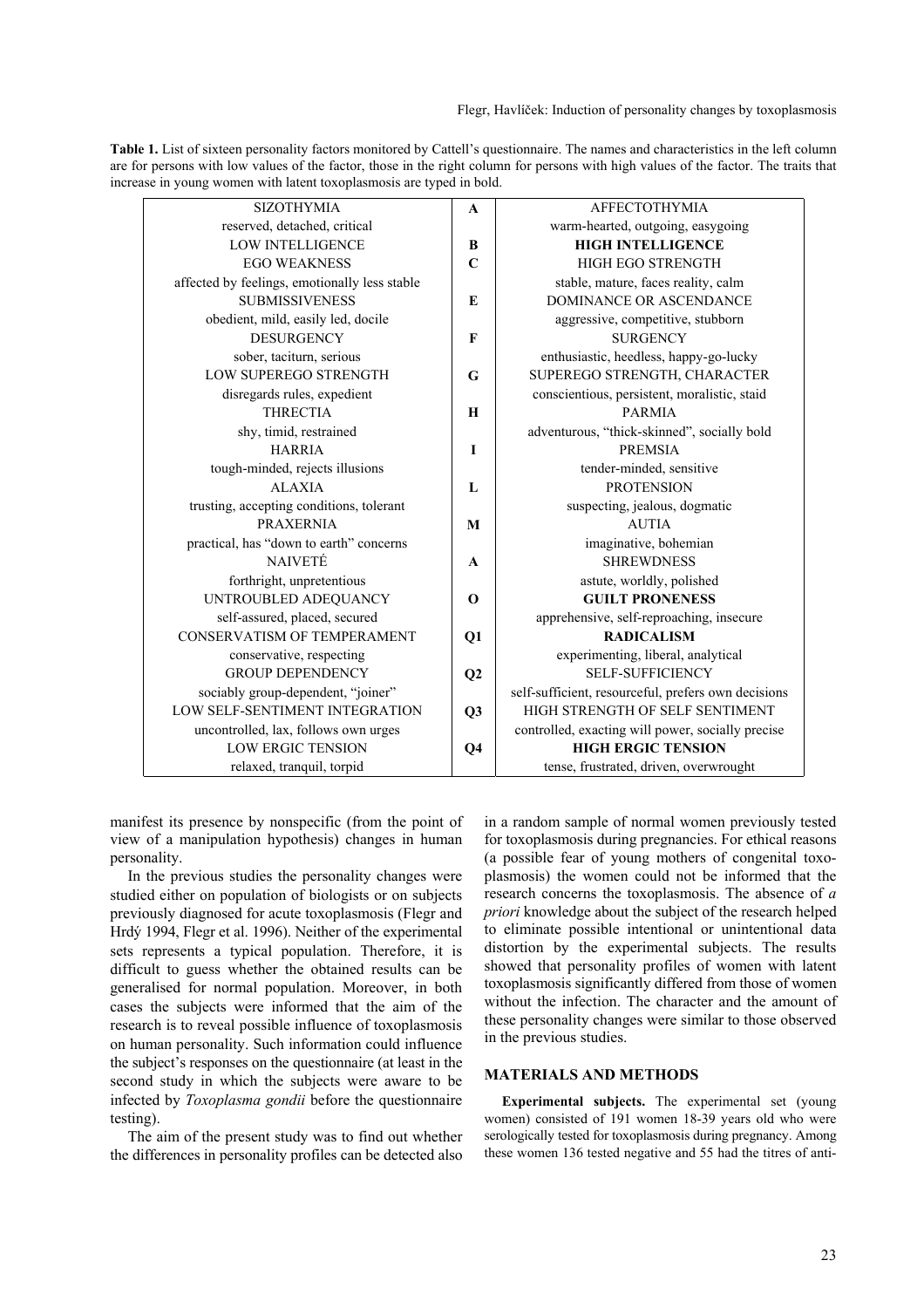| Table 1. List of sixteen personality factors monitored by Cattell's questionnaire. The names and characteristics in the left column  |
|--------------------------------------------------------------------------------------------------------------------------------------|
| are for persons with low values of the factor, those in the right column for persons with high values of the factor. The traits that |
| increase in young women with latent toxoplasmosis are typed in bold.                                                                 |

| <b>SIZOTHYMIA</b>                             | $\mathbf{A}$   | AFFECTOTHYMIA                                       |  |  |  |
|-----------------------------------------------|----------------|-----------------------------------------------------|--|--|--|
| reserved, detached, critical                  |                | warm-hearted, outgoing, easygoing                   |  |  |  |
| <b>LOW INTELLIGENCE</b>                       | B              | <b>HIGH INTELLIGENCE</b>                            |  |  |  |
| <b>EGO WEAKNESS</b>                           | $\mathbf C$    | HIGH EGO STRENGTH                                   |  |  |  |
| affected by feelings, emotionally less stable |                | stable, mature, faces reality, calm                 |  |  |  |
| <b>SUBMISSIVENESS</b>                         | E              | DOMINANCE OR ASCENDANCE                             |  |  |  |
| obedient, mild, easily led, docile            |                | aggressive, competitive, stubborn                   |  |  |  |
| <b>DESURGENCY</b>                             | F              | <b>SURGENCY</b>                                     |  |  |  |
| sober, taciturn, serious                      |                | enthusiastic, heedless, happy-go-lucky              |  |  |  |
| LOW SUPEREGO STRENGTH                         | G              | SUPEREGO STRENGTH, CHARACTER                        |  |  |  |
| disregards rules, expedient                   |                | conscientious, persistent, moralistic, staid        |  |  |  |
| <b>THRECTIA</b>                               | H              | <b>PARMIA</b>                                       |  |  |  |
| shy, timid, restrained                        |                | adventurous, "thick-skinned", socially bold         |  |  |  |
| <b>HARRIA</b>                                 | I              | <b>PREMSIA</b>                                      |  |  |  |
| tough-minded, rejects illusions               |                | tender-minded, sensitive                            |  |  |  |
| <b>ALAXIA</b>                                 | L              | <b>PROTENSION</b>                                   |  |  |  |
| trusting, accepting conditions, tolerant      |                | suspecting, jealous, dogmatic                       |  |  |  |
| <b>PRAXERNIA</b>                              | M              | <b>AUTIA</b>                                        |  |  |  |
| practical, has "down to earth" concerns       |                | imaginative, bohemian                               |  |  |  |
| <b>NAIVETÉ</b>                                | $\mathbf{A}$   | <b>SHREWDNESS</b>                                   |  |  |  |
| forthright, unpretentious                     |                | astute, worldly, polished                           |  |  |  |
| UNTROUBLED ADEQUANCY                          | $\mathbf 0$    | <b>GUILT PRONENESS</b>                              |  |  |  |
| self-assured, placed, secured                 |                | apprehensive, self-reproaching, insecure            |  |  |  |
| CONSERVATISM OF TEMPERAMENT                   | Q1             | <b>RADICALISM</b>                                   |  |  |  |
| conservative, respecting                      |                | experimenting, liberal, analytical                  |  |  |  |
| <b>GROUP DEPENDENCY</b>                       | Q2             | <b>SELF-SUFFICIENCY</b>                             |  |  |  |
| sociably group-dependent, "joiner"            |                | self-sufficient, resourceful, prefers own decisions |  |  |  |
| LOW SELF-SENTIMENT INTEGRATION                | Q3             | HIGH STRENGTH OF SELF SENTIMENT                     |  |  |  |
| uncontrolled, lax, follows own urges          |                | controlled, exacting will power, socially precise   |  |  |  |
| <b>LOW ERGIC TENSION</b>                      | Q <sub>4</sub> | <b>HIGH ERGIC TENSION</b>                           |  |  |  |
| relaxed, tranquil, torpid                     |                | tense, frustrated, driven, overwrought              |  |  |  |

manifest its presence by nonspecific (from the point of view of a manipulation hypothesis) changes in human personality.

In the previous studies the personality changes were studied either on population of biologists or on subjects previously diagnosed for acute toxoplasmosis (Flegr and Hrdý 1994, Flegr et al. 1996). Neither of the experimental sets represents a typical population. Therefore, it is difficult to guess whether the obtained results can be generalised for normal population. Moreover, in both cases the subjects were informed that the aim of the research is to reveal possible influence of toxoplasmosis on human personality. Such information could influence the subject's responses on the questionnaire (at least in the second study in which the subjects were aware to be infected by *Toxoplasma gondii* before the questionnaire testing).

The aim of the present study was to find out whether the differences in personality profiles can be detected also in a random sample of normal women previously tested for toxoplasmosis during pregnancies. For ethical reasons (a possible fear of young mothers of congenital toxoplasmosis) the women could not be informed that the research concerns the toxoplasmosis. The absence of *a priori* knowledge about the subject of the research helped to eliminate possible intentional or unintentional data distortion by the experimental subjects. The results showed that personality profiles of women with latent toxoplasmosis significantly differed from those of women without the infection. The character and the amount of these personality changes were similar to those observed in the previous studies.

## **MATERIALS AND METHODS**

**Experimental subjects.** The experimental set (young women) consisted of 191 women 18-39 years old who were serologically tested for toxoplasmosis during pregnancy. Among these women 136 tested negative and 55 had the titres of anti-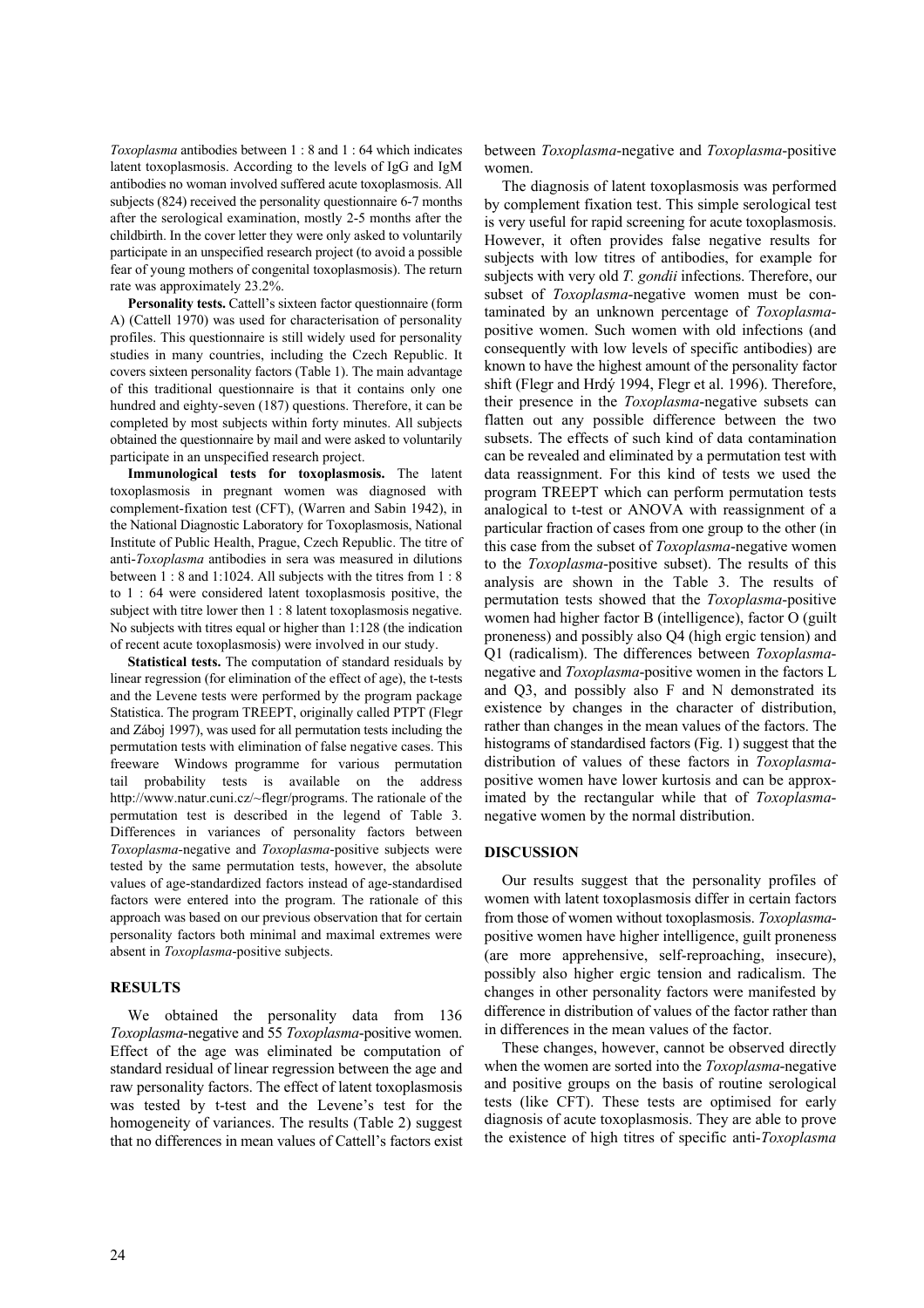*Toxoplasma* antibodies between 1 : 8 and 1 : 64 which indicates latent toxoplasmosis. According to the levels of IgG and IgM antibodies no woman involved suffered acute toxoplasmosis. All subjects (824) received the personality questionnaire 6-7 months after the serological examination, mostly 2-5 months after the childbirth. In the cover letter they were only asked to voluntarily participate in an unspecified research project (to avoid a possible fear of young mothers of congenital toxoplasmosis). The return rate was approximately 23.2%.

**Personality tests.** Cattell's sixteen factor questionnaire (form A) (Cattell 1970) was used for characterisation of personality profiles. This questionnaire is still widely used for personality studies in many countries, including the Czech Republic. It covers sixteen personality factors (Table 1). The main advantage of this traditional questionnaire is that it contains only one hundred and eighty-seven (187) questions. Therefore, it can be completed by most subjects within forty minutes. All subjects obtained the questionnaire by mail and were asked to voluntarily participate in an unspecified research project.

**Immunological tests for toxoplasmosis.** The latent toxoplasmosis in pregnant women was diagnosed with complement-fixation test (CFT), (Warren and Sabin 1942), in the National Diagnostic Laboratory for Toxoplasmosis, National Institute of Public Health, Prague, Czech Republic. The titre of anti-*Toxoplasma* antibodies in sera was measured in dilutions between 1 : 8 and 1:1024. All subjects with the titres from 1 : 8 to 1 : 64 were considered latent toxoplasmosis positive, the subject with titre lower then 1 : 8 latent toxoplasmosis negative. No subjects with titres equal or higher than 1:128 (the indication of recent acute toxoplasmosis) were involved in our study.

**Statistical tests.** The computation of standard residuals by linear regression (for elimination of the effect of age), the t-tests and the Levene tests were performed by the program package Statistica. The program TREEPT, originally called PTPT (Flegr and Záboj 1997), was used for all permutation tests including the permutation tests with elimination of false negative cases. This freeware Windows programme for various permutation tail probability tests is available on the address http://www.natur.cuni.cz/~flegr/programs. The rationale of the permutation test is described in the legend of Table 3. Differences in variances of personality factors between *Toxoplasma-*negative and *Toxoplasma*-positive subjects were tested by the same permutation tests, however, the absolute values of age-standardized factors instead of age-standardised factors were entered into the program. The rationale of this approach was based on our previous observation that for certain personality factors both minimal and maximal extremes were absent in *Toxoplasma*-positive subjects.

#### **RESULTS**

We obtained the personality data from 136 *Toxoplasma*-negative and 55 *Toxoplasma*-positive women. Effect of the age was eliminated be computation of standard residual of linear regression between the age and raw personality factors. The effect of latent toxoplasmosis was tested by t-test and the Levene's test for the homogeneity of variances. The results (Table 2) suggest that no differences in mean values of Cattell's factors exist

between *Toxoplasma*-negative and *Toxoplasma*-positive women.

The diagnosis of latent toxoplasmosis was performed by complement fixation test. This simple serological test is very useful for rapid screening for acute toxoplasmosis. However, it often provides false negative results for subjects with low titres of antibodies, for example for subjects with very old *T. gondii* infections. Therefore, our subset of *Toxoplasma*-negative women must be contaminated by an unknown percentage of *Toxoplasma*positive women. Such women with old infections (and consequently with low levels of specific antibodies) are known to have the highest amount of the personality factor shift (Flegr and Hrdý 1994, Flegr et al. 1996). Therefore, their presence in the *Toxoplasma*-negative subsets can flatten out any possible difference between the two subsets. The effects of such kind of data contamination can be revealed and eliminated by a permutation test with data reassignment. For this kind of tests we used the program TREEPT which can perform permutation tests analogical to t-test or ANOVA with reassignment of a particular fraction of cases from one group to the other (in this case from the subset of *Toxoplasma*-negative women to the *Toxoplasma*-positive subset). The results of this analysis are shown in the Table 3. The results of permutation tests showed that the *Toxoplasma*-positive women had higher factor B (intelligence), factor O (guilt proneness) and possibly also Q4 (high ergic tension) and Q1 (radicalism). The differences between *Toxoplasma*negative and *Toxoplasma*-positive women in the factors L and Q3, and possibly also F and N demonstrated its existence by changes in the character of distribution, rather than changes in the mean values of the factors. The histograms of standardised factors (Fig. 1) suggest that the distribution of values of these factors in *Toxoplasma*positive women have lower kurtosis and can be approximated by the rectangular while that of *Toxoplasma*negative women by the normal distribution.

#### **DISCUSSION**

Our results suggest that the personality profiles of women with latent toxoplasmosis differ in certain factors from those of women without toxoplasmosis. *Toxoplasma*positive women have higher intelligence, guilt proneness (are more apprehensive, self-reproaching, insecure), possibly also higher ergic tension and radicalism. The changes in other personality factors were manifested by difference in distribution of values of the factor rather than in differences in the mean values of the factor.

These changes, however, cannot be observed directly when the women are sorted into the *Toxoplasma*-negative and positive groups on the basis of routine serological tests (like CFT). These tests are optimised for early diagnosis of acute toxoplasmosis. They are able to prove the existence of high titres of specific anti-*Toxoplasma*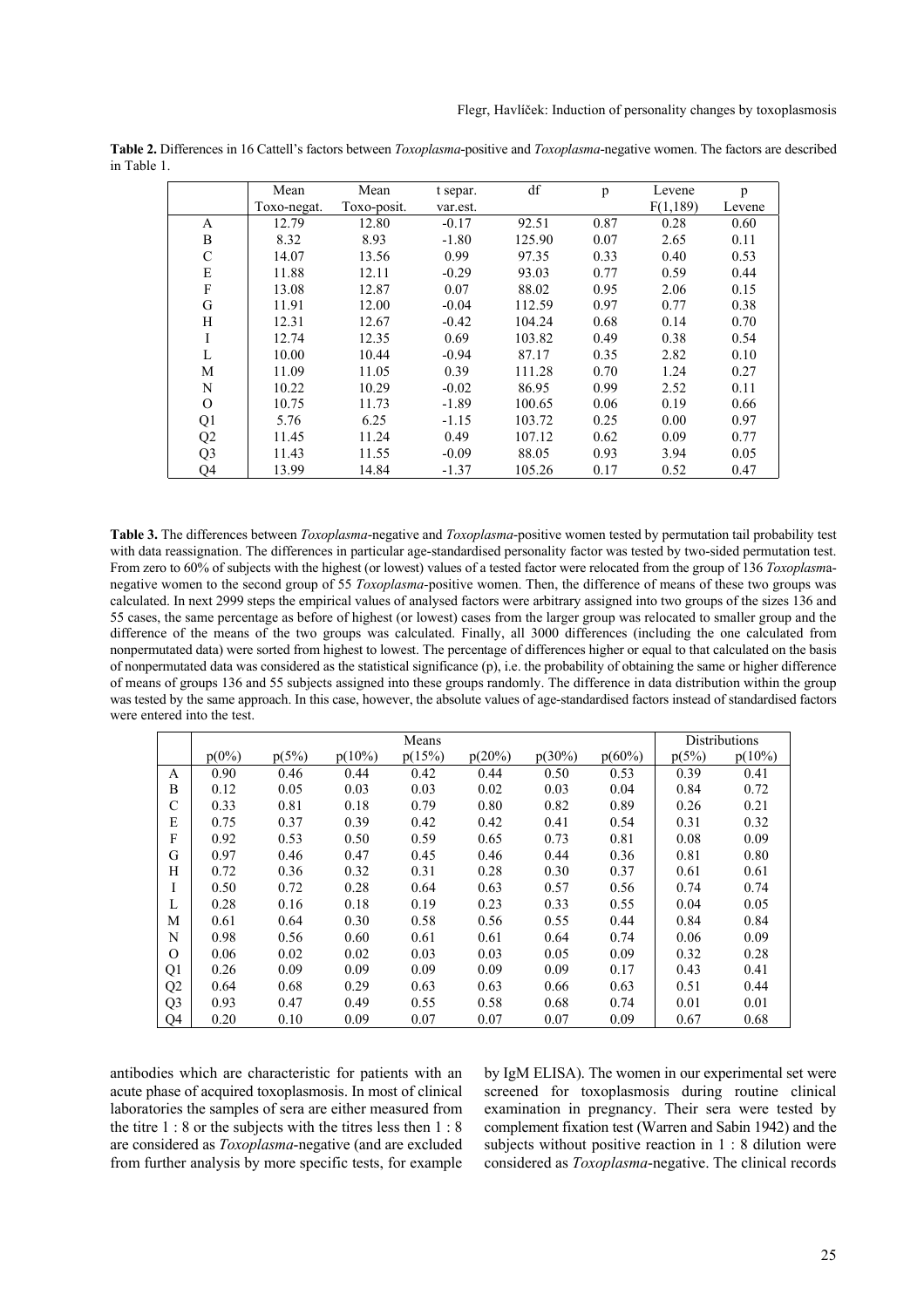|                | Mean        | Mean        | t separ. | df             | p    | Levene   | p      |
|----------------|-------------|-------------|----------|----------------|------|----------|--------|
|                | Toxo-negat. | Toxo-posit. | var.est. |                |      | F(1,189) | Levene |
| A              | 12.79       | 12.80       | $-0.17$  | 92.51          | 0.87 | 0.28     | 0.60   |
| B              | 8.32        | 8.93        | $-1.80$  | 125.90         | 0.07 | 2.65     | 0.11   |
| $\mathcal{C}$  | 14.07       | 13.56       | 0.99     | 97.35          | 0.33 | 0.40     | 0.53   |
| E              | 11.88       | 12.11       | $-0.29$  | 93.03          | 0.77 | 0.59     | 0.44   |
| ${\bf F}$      | 13.08       | 12.87       | 0.07     | 88.02          | 0.95 | 2.06     | 0.15   |
| G              | 11.91       | 12.00       | $-0.04$  | 112.59         | 0.97 | 0.77     | 0.38   |
| H              | 12.31       | 12.67       | $-0.42$  | 104.24         | 0.68 | 0.14     | 0.70   |
| I              | 12.74       | 12.35       | 0.69     | 103.82         | 0.49 | 0.38     | 0.54   |
| L              | 10.00       | 10.44       | $-0.94$  | 87.17          | 0.35 | 2.82     | 0.10   |
| M              | 11.09       | 11.05       | 0.39     | 111.28         | 0.70 | 1.24     | 0.27   |
| N              | 10.22       | 10.29       | $-0.02$  | 86.95          | 0.99 | 2.52     | 0.11   |
| $\Omega$       | 10.75       | 11.73       | $-1.89$  | 100.65         | 0.06 | 0.19     | 0.66   |
| Q1             | 5.76        | 6.25        | $-1.15$  | 0.25<br>103.72 |      | 0.00     | 0.97   |
| Q2             | 11.45       | 11.24       | 0.49     | 107.12         | 0.62 | 0.09     | 0.77   |
| Q <sub>3</sub> | 11.43       | 11.55       | $-0.09$  | 88.05          | 0.93 | 3.94     | 0.05   |
| Q4             | 13.99       | 14.84       | $-1.37$  | 105.26         | 0.17 | 0.52     | 0.47   |

**Table 2.** Differences in 16 Cattell's factors between *Toxoplasma*-positive and *Toxoplasma*-negative women. The factors are described in Table 1.

**Table 3.** The differences between *Toxoplasma*-negative and *Toxoplasma*-positive women tested by permutation tail probability test with data reassignation. The differences in particular age-standardised personality factor was tested by two-sided permutation test. From zero to 60% of subjects with the highest (or lowest) values of a tested factor were relocated from the group of 136 *Toxoplasm*anegative women to the second group of 55 *Toxoplasma-*positive women. Then, the difference of means of these two groups was calculated. In next 2999 steps the empirical values of analysed factors were arbitrary assigned into two groups of the sizes 136 and 55 cases, the same percentage as before of highest (or lowest) cases from the larger group was relocated to smaller group and the difference of the means of the two groups was calculated. Finally, all 3000 differences (including the one calculated from nonpermutated data) were sorted from highest to lowest. The percentage of differences higher or equal to that calculated on the basis of nonpermutated data was considered as the statistical significance (p), i.e. the probability of obtaining the same or higher difference of means of groups 136 and 55 subjects assigned into these groups randomly. The difference in data distribution within the group was tested by the same approach. In this case, however, the absolute values of age-standardised factors instead of standardised factors were entered into the test.

|                | Means    |       |           |        |        | <b>Distributions</b> |           |       |           |
|----------------|----------|-------|-----------|--------|--------|----------------------|-----------|-------|-----------|
|                | $p(0\%)$ | p(5%) | $p(10\%)$ | p(15%) | p(20%) | p(30%)               | $p(60\%)$ | p(5%) | $p(10\%)$ |
| A              | 0.90     | 0.46  | 0.44      | 0.42   | 0.44   | 0.50                 | 0.53      | 0.39  | 0.41      |
| B              | 0.12     | 0.05  | 0.03      | 0.03   | 0.02   | 0.03                 | 0.04      | 0.84  | 0.72      |
| С              | 0.33     | 0.81  | 0.18      | 0.79   | 0.80   | 0.82                 | 0.89      | 0.26  | 0.21      |
| E              | 0.75     | 0.37  | 0.39      | 0.42   | 0.42   | 0.41                 | 0.54      | 0.31  | 0.32      |
| F              | 0.92     | 0.53  | 0.50      | 0.59   | 0.65   | 0.73                 | 0.81      | 0.08  | 0.09      |
| G              | 0.97     | 0.46  | 0.47      | 0.45   | 0.46   | 0.44                 | 0.36      | 0.81  | 0.80      |
| H              | 0.72     | 0.36  | 0.32      | 0.31   | 0.28   | 0.30                 | 0.37      | 0.61  | 0.61      |
| I              | 0.50     | 0.72  | 0.28      | 0.64   | 0.63   | 0.57                 | 0.56      | 0.74  | 0.74      |
| L              | 0.28     | 0.16  | 0.18      | 0.19   | 0.23   | 0.33                 | 0.55      | 0.04  | 0.05      |
| M              | 0.61     | 0.64  | 0.30      | 0.58   | 0.56   | 0.55                 | 0.44      | 0.84  | 0.84      |
| N              | 0.98     | 0.56  | 0.60      | 0.61   | 0.61   | 0.64                 | 0.74      | 0.06  | 0.09      |
| $\Omega$       | 0.06     | 0.02  | 0.02      | 0.03   | 0.03   | 0.05                 | 0.09      | 0.32  | 0.28      |
| Q1             | 0.26     | 0.09  | 0.09      | 0.09   | 0.09   | 0.09                 | 0.17      | 0.43  | 0.41      |
| Q <sub>2</sub> | 0.64     | 0.68  | 0.29      | 0.63   | 0.63   | 0.66                 | 0.63      | 0.51  | 0.44      |
| Q <sub>3</sub> | 0.93     | 0.47  | 0.49      | 0.55   | 0.58   | 0.68                 | 0.74      | 0.01  | 0.01      |
| Q4             | 0.20     | 0.10  | 0.09      | 0.07   | 0.07   | 0.07                 | 0.09      | 0.67  | 0.68      |

antibodies which are characteristic for patients with an acute phase of acquired toxoplasmosis. In most of clinical laboratories the samples of sera are either measured from the titre 1 : 8 or the subjects with the titres less then 1 : 8 are considered as *Toxoplasma*-negative (and are excluded from further analysis by more specific tests, for example

by IgM ELISA). The women in our experimental set were screened for toxoplasmosis during routine clinical examination in pregnancy. Their sera were tested by complement fixation test (Warren and Sabin 1942) and the subjects without positive reaction in 1 : 8 dilution were considered as *Toxoplasma*-negative. The clinical records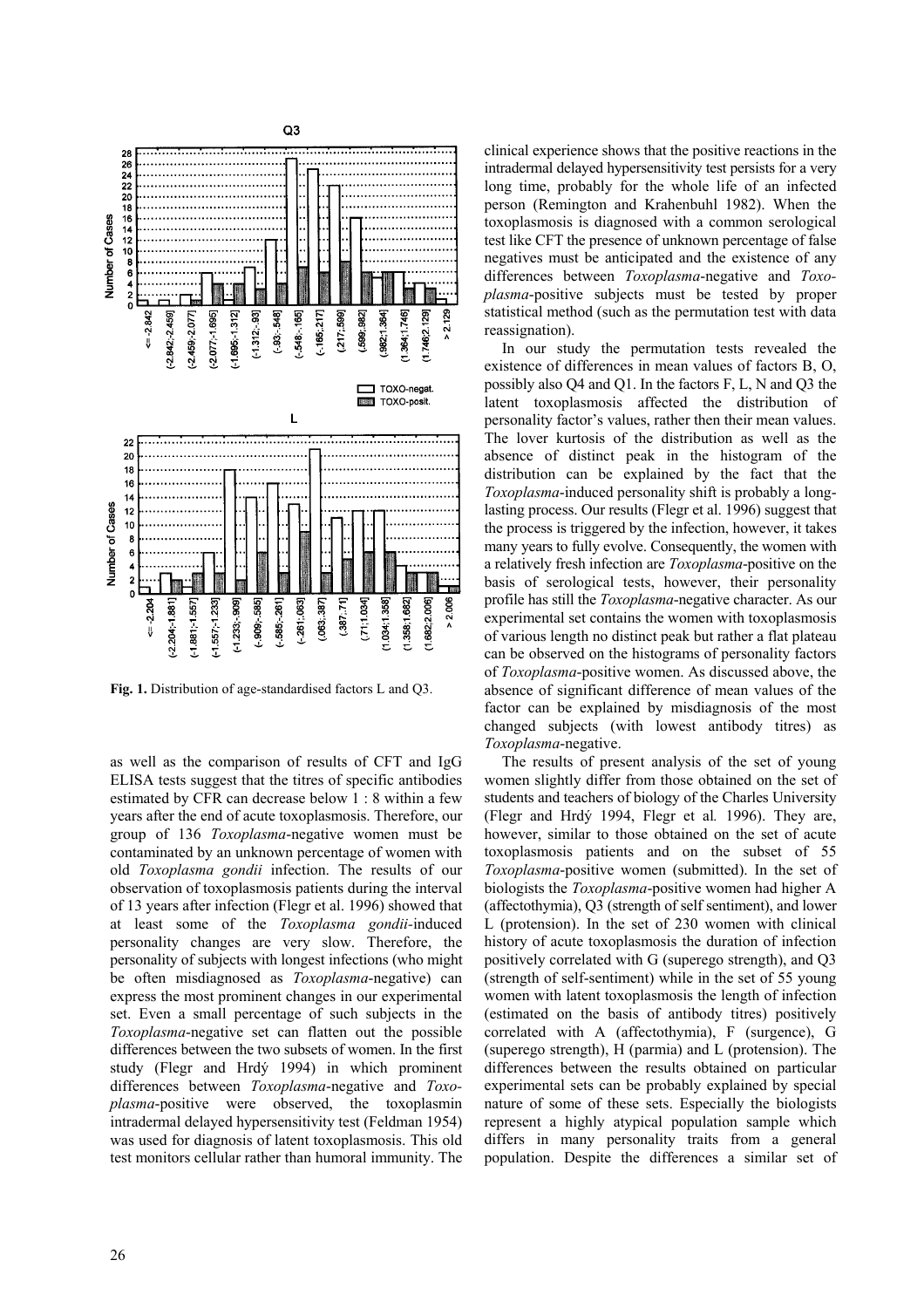

**Fig. 1.** Distribution of age-standardised factors L and Q3.

as well as the comparison of results of CFT and IgG ELISA tests suggest that the titres of specific antibodies estimated by CFR can decrease below 1 : 8 within a few years after the end of acute toxoplasmosis. Therefore, our group of 136 *Toxoplasma*-negative women must be contaminated by an unknown percentage of women with old *Toxoplasma gondii* infection. The results of our observation of toxoplasmosis patients during the interval of 13 years after infection (Flegr et al. 1996) showed that at least some of the *Toxoplasma gondii-*induced personality changes are very slow. Therefore, the personality of subjects with longest infections (who might be often misdiagnosed as *Toxoplasma*-negative) can express the most prominent changes in our experimental set. Even a small percentage of such subjects in the *Toxoplasma*-negative set can flatten out the possible differences between the two subsets of women. In the first study (Flegr and Hrdý 1994) in which prominent differences between *Toxoplasma*-negative and *Toxoplasma*-positive were observed, the toxoplasmin intradermal delayed hypersensitivity test (Feldman 1954) was used for diagnosis of latent toxoplasmosis. This old test monitors cellular rather than humoral immunity. The

clinical experience shows that the positive reactions in the intradermal delayed hypersensitivity test persists for a very long time, probably for the whole life of an infected person (Remington and Krahenbuhl 1982). When the toxoplasmosis is diagnosed with a common serological test like CFT the presence of unknown percentage of false negatives must be anticipated and the existence of any differences between *Toxoplasma*-negative and *Toxoplasma*-positive subjects must be tested by proper statistical method (such as the permutation test with data reassignation).

In our study the permutation tests revealed the existence of differences in mean values of factors B, O, possibly also Q4 and Q1. In the factors F, L, N and Q3 the latent toxoplasmosis affected the distribution of personality factor's values, rather then their mean values. The lover kurtosis of the distribution as well as the absence of distinct peak in the histogram of the distribution can be explained by the fact that the *Toxoplasma*-induced personality shift is probably a longlasting process. Our results (Flegr et al. 1996) suggest that the process is triggered by the infection, however, it takes many years to fully evolve. Consequently, the women with a relatively fresh infection are *Toxoplasma*-positive on the basis of serological tests, however, their personality profile has still the *Toxoplasma*-negative character. As our experimental set contains the women with toxoplasmosis of various length no distinct peak but rather a flat plateau can be observed on the histograms of personality factors of *Toxoplasma*-positive women. As discussed above, the absence of significant difference of mean values of the factor can be explained by misdiagnosis of the most changed subjects (with lowest antibody titres) as *Toxoplasma*-negative.

The results of present analysis of the set of young women slightly differ from those obtained on the set of students and teachers of biology of the Charles University (Flegr and Hrdý 1994, Flegr et al*.* 1996). They are, however, similar to those obtained on the set of acute toxoplasmosis patients and on the subset of 55 *Toxoplasma*-positive women (submitted). In the set of biologists the *Toxoplasma*-positive women had higher A (affectothymia), Q3 (strength of self sentiment), and lower L (protension). In the set of 230 women with clinical history of acute toxoplasmosis the duration of infection positively correlated with G (superego strength), and Q3 (strength of self-sentiment) while in the set of 55 young women with latent toxoplasmosis the length of infection (estimated on the basis of antibody titres) positively correlated with A (affectothymia), F (surgence), G (superego strength), H (parmia) and L (protension). The differences between the results obtained on particular experimental sets can be probably explained by special nature of some of these sets. Especially the biologists represent a highly atypical population sample which differs in many personality traits from a general population. Despite the differences a similar set of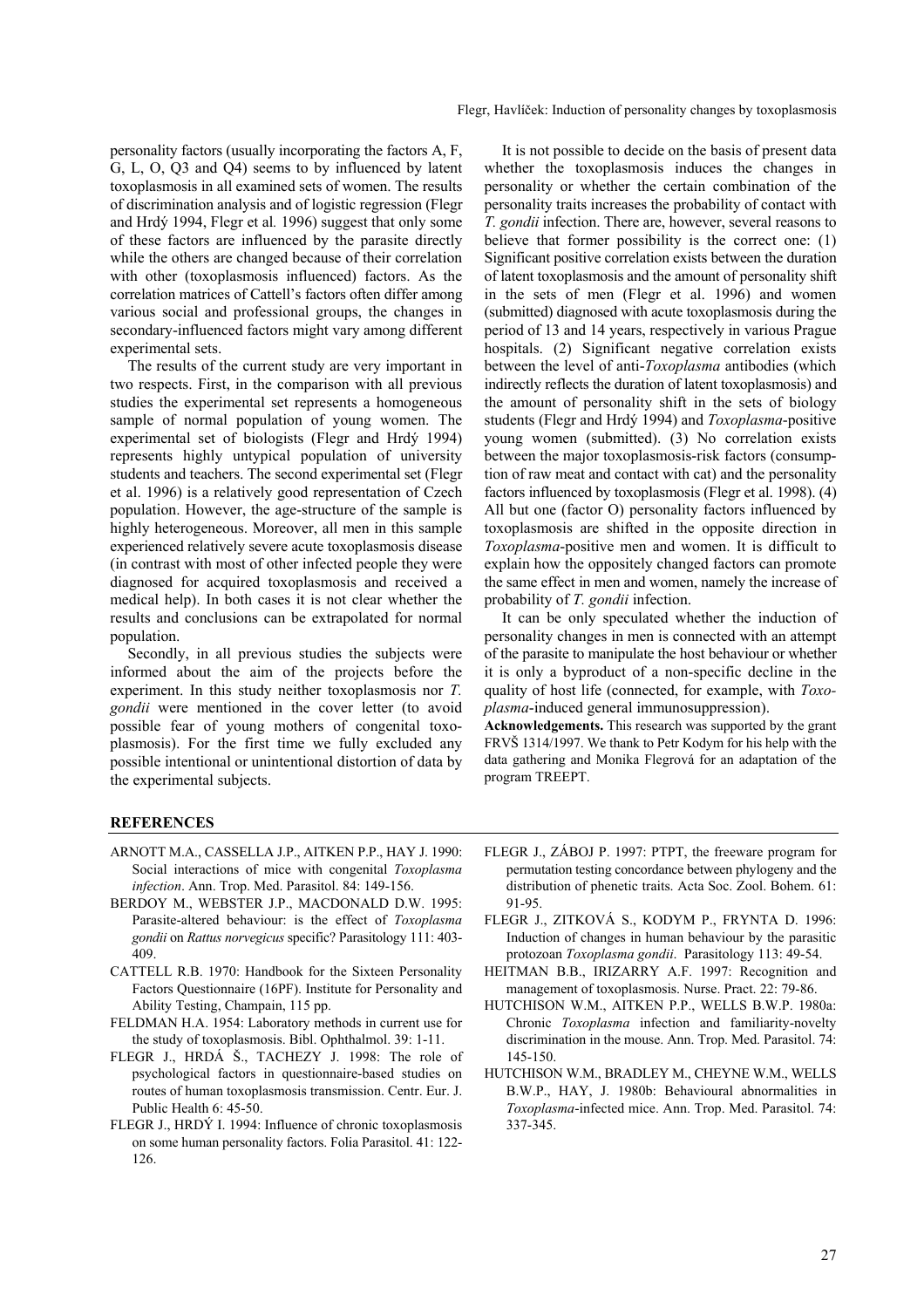personality factors (usually incorporating the factors A, F, G, L, O, Q3 and Q4) seems to by influenced by latent toxoplasmosis in all examined sets of women. The results of discrimination analysis and of logistic regression (Flegr and Hrdý 1994, Flegr et al*.* 1996) suggest that only some of these factors are influenced by the parasite directly while the others are changed because of their correlation with other (toxoplasmosis influenced) factors. As the correlation matrices of Cattell's factors often differ among various social and professional groups, the changes in secondary-influenced factors might vary among different experimental sets.

The results of the current study are very important in two respects. First, in the comparison with all previous studies the experimental set represents a homogeneous sample of normal population of young women. The experimental set of biologists (Flegr and Hrdý 1994) represents highly untypical population of university students and teachers. The second experimental set (Flegr et al. 1996) is a relatively good representation of Czech population. However, the age-structure of the sample is highly heterogeneous. Moreover, all men in this sample experienced relatively severe acute toxoplasmosis disease (in contrast with most of other infected people they were diagnosed for acquired toxoplasmosis and received a medical help). In both cases it is not clear whether the results and conclusions can be extrapolated for normal population.

Secondly, in all previous studies the subjects were informed about the aim of the projects before the experiment. In this study neither toxoplasmosis nor *T. gondii* were mentioned in the cover letter (to avoid possible fear of young mothers of congenital toxoplasmosis). For the first time we fully excluded any possible intentional or unintentional distortion of data by the experimental subjects.

It is not possible to decide on the basis of present data whether the toxoplasmosis induces the changes in personality or whether the certain combination of the personality traits increases the probability of contact with *T. gondii* infection. There are, however, several reasons to believe that former possibility is the correct one: (1) Significant positive correlation exists between the duration of latent toxoplasmosis and the amount of personality shift in the sets of men (Flegr et al. 1996) and women (submitted) diagnosed with acute toxoplasmosis during the period of 13 and 14 years, respectively in various Prague hospitals. (2) Significant negative correlation exists between the level of anti-*Toxoplasma* antibodies (which indirectly reflects the duration of latent toxoplasmosis) and the amount of personality shift in the sets of biology students (Flegr and Hrdý 1994) and *Toxoplasma*-positive young women (submitted). (3) No correlation exists between the major toxoplasmosis-risk factors (consumption of raw meat and contact with cat) and the personality factors influenced by toxoplasmosis (Flegr et al. 1998). (4) All but one (factor O) personality factors influenced by toxoplasmosis are shifted in the opposite direction in *Toxoplasma*-positive men and women. It is difficult to explain how the oppositely changed factors can promote the same effect in men and women, namely the increase of probability of *T. gondii* infection.

It can be only speculated whether the induction of personality changes in men is connected with an attempt of the parasite to manipulate the host behaviour or whether it is only a byproduct of a non-specific decline in the quality of host life (connected, for example, with *Toxoplasma*-induced general immunosuppression).

**Acknowledgements.** This research was supported by the grant FRVŠ 1314/1997. We thank to Petr Kodym for his help with the data gathering and Monika Flegrová for an adaptation of the program TREEPT.

#### **REFERENCES**

- ARNOTT M.A., CASSELLA J.P., AITKEN P.P., HAY J. 1990: Social interactions of mice with congenital *Toxoplasma infection*. Ann. Trop. Med. Parasitol. 84: 149-156.
- BERDOY M., WEBSTER J.P., MACDONALD D.W. 1995: Parasite-altered behaviour: is the effect of *Toxoplasma gondii* on *Rattus norvegicus* specific? Parasitology 111: 403- 409.
- CATTELL R.B. 1970: Handbook for the Sixteen Personality Factors Questionnaire (16PF). Institute for Personality and Ability Testing, Champain, 115 pp.
- FELDMAN H.A. 1954: Laboratory methods in current use for the study of toxoplasmosis. Bibl. Ophthalmol. 39: 1-11.
- FLEGR J., HRDÁ Š., TACHEZY J. 1998: The role of psychological factors in questionnaire-based studies on routes of human toxoplasmosis transmission. Centr. Eur. J. Public Health 6: 45-50.
- FLEGR J., HRDÝ I. 1994: Influence of chronic toxoplasmosis on some human personality factors. Folia Parasitol. 41: 122- 126.
- FLEGR J., ZÁBOJ P. 1997: PTPT, the freeware program for permutation testing concordance between phylogeny and the distribution of phenetic traits. Acta Soc. Zool. Bohem. 61: 91-95.
- FLEGR J., ZITKOVÁ S., KODYM P., FRYNTA D. 1996: Induction of changes in human behaviour by the parasitic protozoan *Toxoplasma gondii*. Parasitology 113: 49-54.
- HEITMAN B.B., IRIZARRY A.F. 1997: Recognition and management of toxoplasmosis. Nurse. Pract. 22: 79-86.
- HUTCHISON W.M., AITKEN P.P., WELLS B.W.P. 1980a: Chronic *Toxoplasma* infection and familiarity-novelty discrimination in the mouse. Ann. Trop. Med. Parasitol. 74: 145-150.
- HUTCHISON W.M., BRADLEY M., CHEYNE W.M., WELLS B.W.P., HAY, J. 1980b: Behavioural abnormalities in *Toxoplasma*-infected mice. Ann. Trop. Med. Parasitol. 74: 337-345.